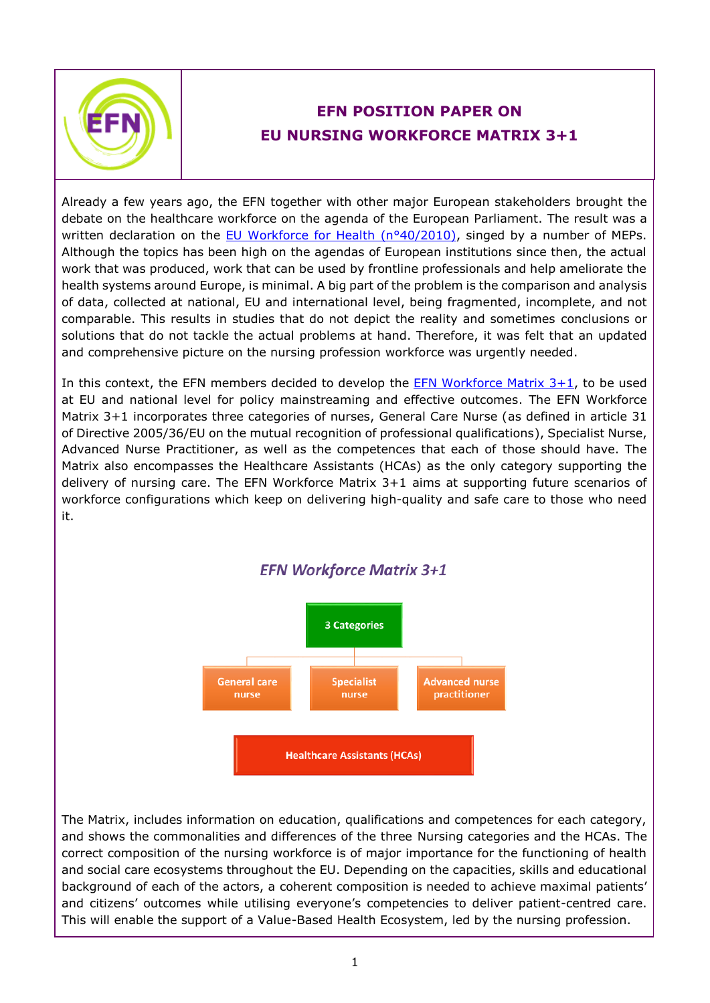

## **EFN POSITION PAPER ON EU NURSING WORKFORCE MATRIX 3+1**

Already a few years ago, the EFN together with other major European stakeholders brought the debate on the healthcare workforce on the agenda of the European Parliament. The result was a written declaration on the [EU Workforce for Health \(n°40/2010\),](http://www.europarl.europa.eu/sides/getDoc.do?pubRef=-//EP//NONSGML+WDECL+P7-DCL-2010-0040+0+DOC+PDF+V0//EN&language=EN) singed by a number of MEPs. Although the topics has been high on the agendas of European institutions since then, the actual work that was produced, work that can be used by frontline professionals and help ameliorate the health systems around Europe, is minimal. A big part of the problem is the comparison and analysis of data, collected at national, EU and international level, being fragmented, incomplete, and not comparable. This results in studies that do not depict the reality and sometimes conclusions or solutions that do not tackle the actual problems at hand. Therefore, it was felt that an updated and comprehensive picture on the nursing profession workforce was urgently needed.

In this context, the EFN members decided to develop the  $EFN$  Workforce Matrix  $3+1$ , to be used at EU and national level for policy mainstreaming and effective outcomes. The EFN Workforce Matrix 3+1 incorporates three categories of nurses, General Care Nurse (as defined in article 31 of Directive 2005/36/EU on the mutual recognition of professional qualifications), Specialist Nurse, Advanced Nurse Practitioner, as well as the competences that each of those should have. The Matrix also encompasses the Healthcare Assistants (HCAs) as the only category supporting the delivery of nursing care. The EFN Workforce Matrix 3+1 aims at supporting future scenarios of workforce configurations which keep on delivering high-quality and safe care to those who need it.



The Matrix, includes information on education, qualifications and competences for each category, and shows the commonalities and differences of the three Nursing categories and the HCAs. The correct composition of the nursing workforce is of major importance for the functioning of health and social care ecosystems throughout the EU. Depending on the capacities, skills and educational background of each of the actors, a coherent composition is needed to achieve maximal patients' and citizens' outcomes while utilising everyone's competencies to deliver patient-centred care. This will enable the support of a Value-Based Health Ecosystem, led by the nursing profession.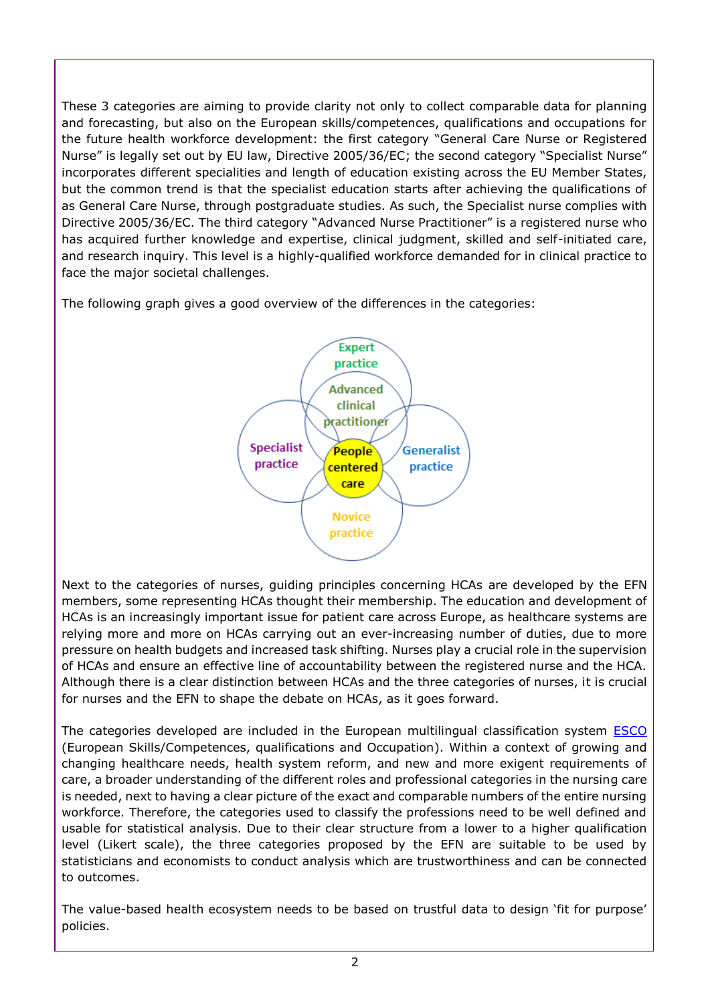These 3 categories are aiming to provide clarity not only to collect comparable data for planning and forecasting, but also on the European skills/competences, qualifications and occupations for the future health workforce development: the first category "General Care Nurse or Registered Nurse" is legally set out by EU law, Directive 2005/36/EC; the second category "Specialist Nurse" incorporates different specialities and length of education existing across the EU Member States, but the common trend is that the specialist education starts after achieving the qualifications of as General Care Nurse, through postgraduate studies. As such, the Specialist nurse complies with Directive 2005/36/EC. The third category "Advanced Nurse Practitioner" is a registered nurse who has acquired further knowledge and expertise, clinical judgment, skilled and self-initiated care, and research inquiry. This level is a highly-qualified workforce demanded for in clinical practice to face the major societal challenges.

The following graph gives a good overview of the differences in the categories:



Next to the categories of nurses, guiding principles concerning HCAs are developed by the EFN members, some representing HCAs thought their membership. The education and development of HCAs is an increasingly important issue for patient care across Europe, as healthcare systems are relying more and more on HCAs carrying out an ever-increasing number of duties, due to more pressure on health budgets and increased task shifting. Nurses play a crucial role in the supervision of HCAs and ensure an effective line of accountability between the registered nurse and the HCA. Although there is a clear distinction between HCAs and the three categories of nurses, it is crucial for nurses and the EFN to shape the debate on HCAs, as it goes forward.

The categories developed are included in the European multilingual classification system [ESCO](https://ec.europa.eu/esco/portal/home) (European Skills/Competences, qualifications and Occupation). Within a context of growing and changing healthcare needs, health system reform, and new and more exigent requirements of care, a broader understanding of the different roles and professional categories in the nursing care is needed, next to having a clear picture of the exact and comparable numbers of the entire nursing workforce. Therefore, the categories used to classify the professions need to be well defined and usable for statistical analysis. Due to their clear structure from a lower to a higher qualification level (Likert scale), the three categories proposed by the EFN are suitable to be used by statisticians and economists to conduct analysis which are trustworthiness and can be connected to outcomes.

The value-based health ecosystem needs to be based on trustful data to design 'fit for purpose' policies.